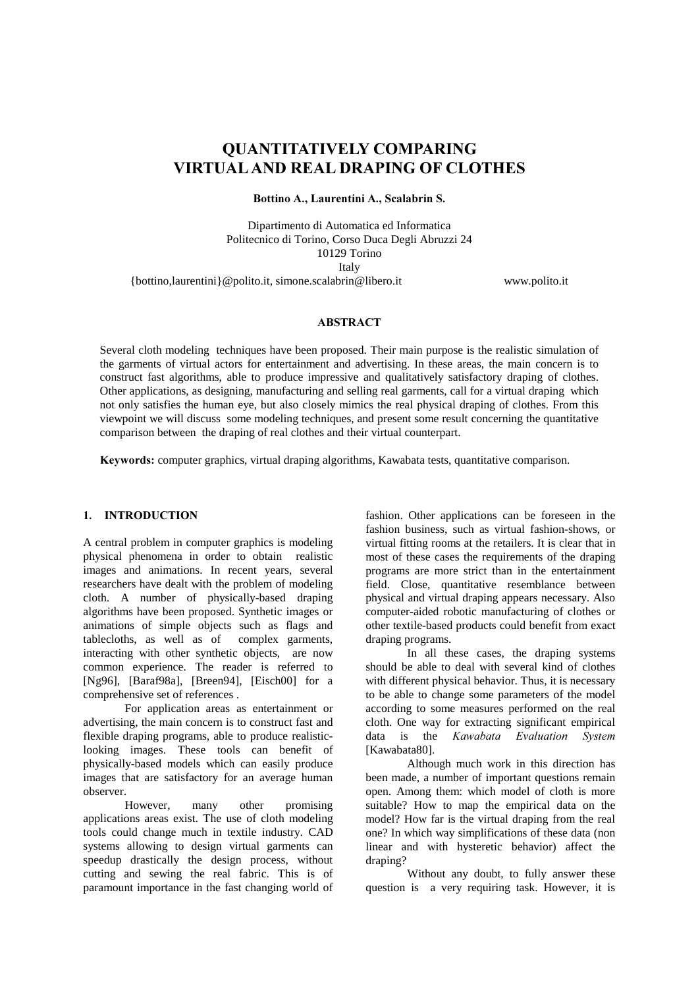# OUANTITATIVELY COMPARING VIRTUAL AND REAL DRAPING OF CLOTHES

Bottino A., Laurentini A., Scalabrin S.

Dipartimento di Automatica ed Informatica Politecnico di Torino, Corso Duca Degli Abruzzi 24 10129 Torino Italy {bottino,laurentini}@polito.it, simone.scalabrin@libero.it www.polito.it

#### **ABSTRACT**

Several cloth modeling techniques have been proposed. Their main purpose is the realistic simulation of the garments of virtual actors for entertainment and advertising. In these areas, the main concern is to construct fast algorithms, able to produce impressive and qualitatively satisfactory draping of clothes. Other applications, as designing, manufacturing and selling real garments, call for a virtual draping which not only satisfies the human eye, but also closely mimics the real physical draping of clothes. From this viewpoint we will discuss some modeling techniques, and present some result concerning the quantitative comparison between the draping of real clothes and their virtual counterpart.

Keywords: computer graphics, virtual draping algorithms, Kawabata tests, quantitative comparison.

## 1. INTRODUCTION

A central problem in computer graphics is modeling physical phenomena in order to obtain realistic images and animations. In recent years, several researchers have dealt with the problem of modeling cloth. A number of physically-based draping algorithms have been proposed. Synthetic images or animations of simple objects such as flags and tablecloths, as well as of complex garments, interacting with other synthetic objects, are now common experience. The reader is referred to [Ng96], [Baraf98a], [Breen94], [Eisch00] for a comprehensive set of references .

For application areas as entertainment or advertising, the main concern is to construct fast and flexible draping programs, able to produce realisticlooking images. These tools can benefit of physically-based models which can easily produce images that are satisfactory for an average human observer.

However, many other promising applications areas exist. The use of cloth modeling tools could change much in textile industry. CAD systems allowing to design virtual garments can speedup drastically the design process, without cutting and sewing the real fabric. This is of paramount importance in the fast changing world of

fashion. Other applications can be foreseen in the fashion business, such as virtual fashion-shows, or virtual fitting rooms at the retailers. It is clear that in most of these cases the requirements of the draping programs are more strict than in the entertainment field. Close, quantitative resemblance between physical and virtual draping appears necessary. Also computer-aided robotic manufacturing of clothes or other textile-based products could benefit from exact draping programs.

In all these cases, the draping systems should be able to deal with several kind of clothes with different physical behavior. Thus, it is necessary to be able to change some parameters of the model according to some measures performed on the real cloth. One way for extracting significant empirical data is the *Kawabata Evaluation System* [Kawabata80].

Although much work in this direction has been made, a number of important questions remain open. Among them: which model of cloth is more suitable? How to map the empirical data on the model? How far is the virtual draping from the real one? In which way simplifications of these data (non linear and with hysteretic behavior) affect the draping?

Without any doubt, to fully answer these question is a very requiring task. However, it is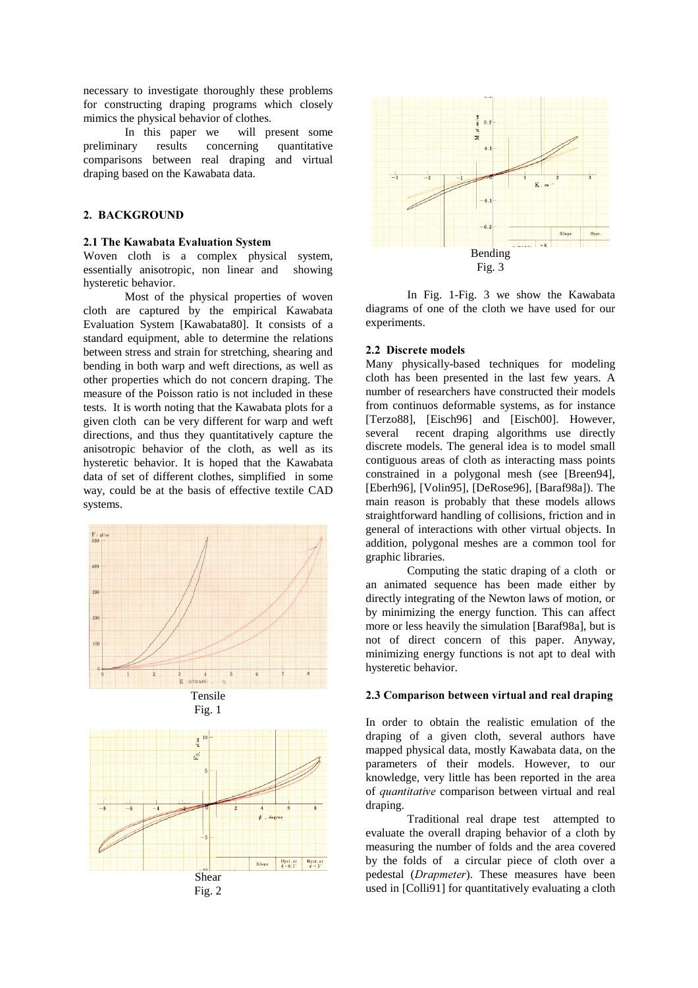necessary to investigate thoroughly these problems for constructing draping programs which closely mimics the physical behavior of clothes.

In this paper we will present some preliminary results concerning quantitative comparisons between real draping and virtual draping based on the Kawabata data.

# 2. BACKGROUND

## 2.1 The Kawabata Evaluation System

Woven cloth is a complex physical system, essentially anisotropic, non linear and showing hysteretic behavior.

Most of the physical properties of woven cloth are captured by the empirical Kawabata Evaluation System [Kawabata80]. It consists of a standard equipment, able to determine the relations between stress and strain for stretching, shearing and bending in both warp and weft directions, as well as other properties which do not concern draping. The measure of the Poisson ratio is not included in these tests. It is worth noting that the Kawabata plots for a given cloth can be very different for warp and weft directions, and thus they quantitatively capture the anisotropic behavior of the cloth, as well as its hysteretic behavior. It is hoped that the Kawabata data of set of different clothes, simplified in some way, could be at the basis of effective textile CAD systems.









In Fig. 1-Fig. 3 we show the Kawabata diagrams of one of the cloth we have used for our experiments.

## 2.2 Discrete models

Many physically-based techniques for modeling cloth has been presented in the last few years. A number of researchers have constructed their models from continuos deformable systems, as for instance [Terzo88], [Eisch96] and [Eisch00]. However, several recent draping algorithms use directly discrete models. The general idea is to model small contiguous areas of cloth as interacting mass points constrained in a polygonal mesh (see [Breen94], [Eberh96], [Volin95], [DeRose96], [Baraf98a]). The main reason is probably that these models allows straightforward handling of collisions, friction and in general of interactions with other virtual objects. In addition, polygonal meshes are a common tool for graphic libraries.

Computing the static draping of a cloth or an animated sequence has been made either by directly integrating of the Newton laws of motion, or by minimizing the energy function. This can affect more or less heavily the simulation [Baraf98a], but is not of direct concern of this paper. Anyway, minimizing energy functions is not apt to deal with hysteretic behavior.

# 2.3 Comparison between virtual and real draping

In order to obtain the realistic emulation of the draping of a given cloth, several authors have mapped physical data, mostly Kawabata data, on the parameters of their models. However, to our knowledge, very little has been reported in the area of *quantitative* comparison between virtual and real draping.

Traditional real drape test attempted to evaluate the overall draping behavior of a cloth by measuring the number of folds and the area covered by the folds of a circular piece of cloth over a pedestal (Drapmeter). These measures have been used in [Colli91] for quantitatively evaluating a cloth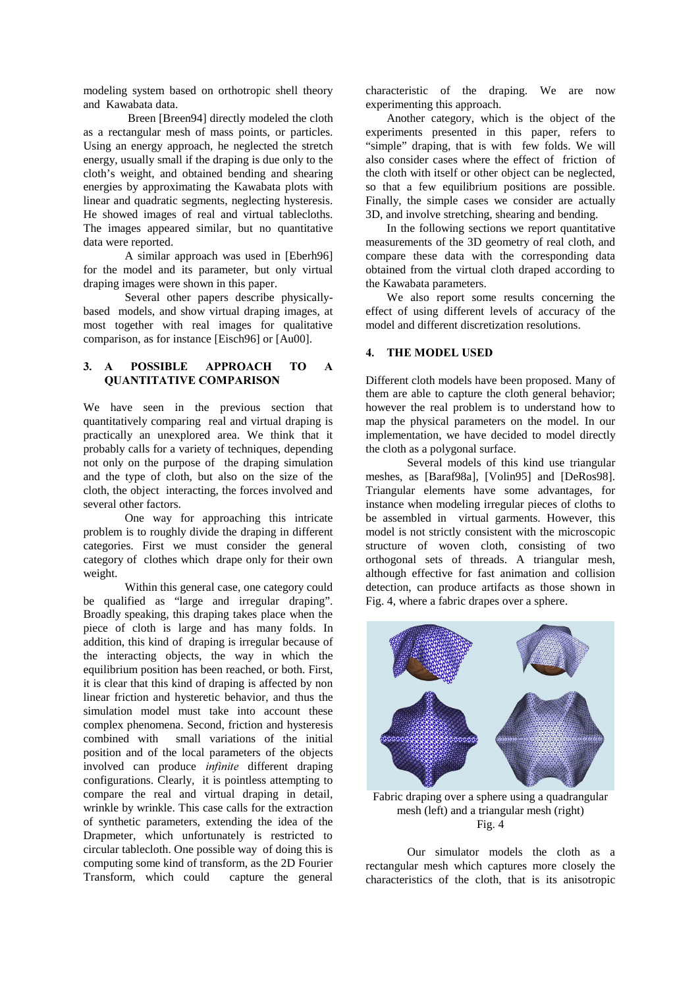modeling system based on orthotropic shell theory and Kawabata data.

 Breen [Breen94] directly modeled the cloth as a rectangular mesh of mass points, or particles. Using an energy approach, he neglected the stretch energy, usually small if the draping is due only to the cloth's weight, and obtained bending and shearing energies by approximating the Kawabata plots with linear and quadratic segments, neglecting hysteresis. He showed images of real and virtual tablecloths. The images appeared similar, but no quantitative data were reported.

A similar approach was used in [Eberh96] for the model and its parameter, but only virtual draping images were shown in this paper.

Several other papers describe physicallybased models, and show virtual draping images, at most together with real images for qualitative comparison, as for instance [Eisch96] or [Au00].

# 3. A POSSIBLE APPROACH TO A **OUANTITATIVE COMPARISON**

We have seen in the previous section that quantitatively comparing real and virtual draping is practically an unexplored area. We think that it probably calls for a variety of techniques, depending not only on the purpose of the draping simulation and the type of cloth, but also on the size of the cloth, the object interacting, the forces involved and several other factors.

One way for approaching this intricate problem is to roughly divide the draping in different categories. First we must consider the general category of clothes which drape only for their own weight.

Within this general case, one category could be qualified as "large and irregular draping". Broadly speaking, this draping takes place when the piece of cloth is large and has many folds. In addition, this kind of draping is irregular because of the interacting objects, the way in which the equilibrium position has been reached, or both. First, it is clear that this kind of draping is affected by non linear friction and hysteretic behavior, and thus the simulation model must take into account these complex phenomena. Second, friction and hysteresis combined with small variations of the initial position and of the local parameters of the objects involved can produce *infinite* different draping configurations. Clearly, it is pointless attempting to compare the real and virtual draping in detail, wrinkle by wrinkle. This case calls for the extraction of synthetic parameters, extending the idea of the Drapmeter, which unfortunately is restricted to circular tablecloth. One possible way of doing this is computing some kind of transform, as the 2D Fourier Transform, which could capture the general

characteristic of the draping. We are now experimenting this approach.

Another category, which is the object of the experiments presented in this paper, refers to "simple" draping, that is with few folds. We will also consider cases where the effect of friction of the cloth with itself or other object can be neglected, so that a few equilibrium positions are possible. Finally, the simple cases we consider are actually 3D, and involve stretching, shearing and bending.

In the following sections we report quantitative measurements of the 3D geometry of real cloth, and compare these data with the corresponding data obtained from the virtual cloth draped according to the Kawabata parameters.

We also report some results concerning the effect of using different levels of accuracy of the model and different discretization resolutions.

# 4. THE MODEL USED

Different cloth models have been proposed. Many of them are able to capture the cloth general behavior; however the real problem is to understand how to map the physical parameters on the model. In our implementation, we have decided to model directly the cloth as a polygonal surface.

Several models of this kind use triangular meshes, as [Baraf98a], [Volin95] and [DeRos98]. Triangular elements have some advantages, for instance when modeling irregular pieces of cloths to be assembled in virtual garments. However, this model is not strictly consistent with the microscopic structure of woven cloth, consisting of two orthogonal sets of threads. A triangular mesh, although effective for fast animation and collision detection, can produce artifacts as those shown in Fig. 4, where a fabric drapes over a sphere.



Fabric draping over a sphere using a quadrangular mesh (left) and a triangular mesh (right) Fig. 4

Our simulator models the cloth as a rectangular mesh which captures more closely the characteristics of the cloth, that is its anisotropic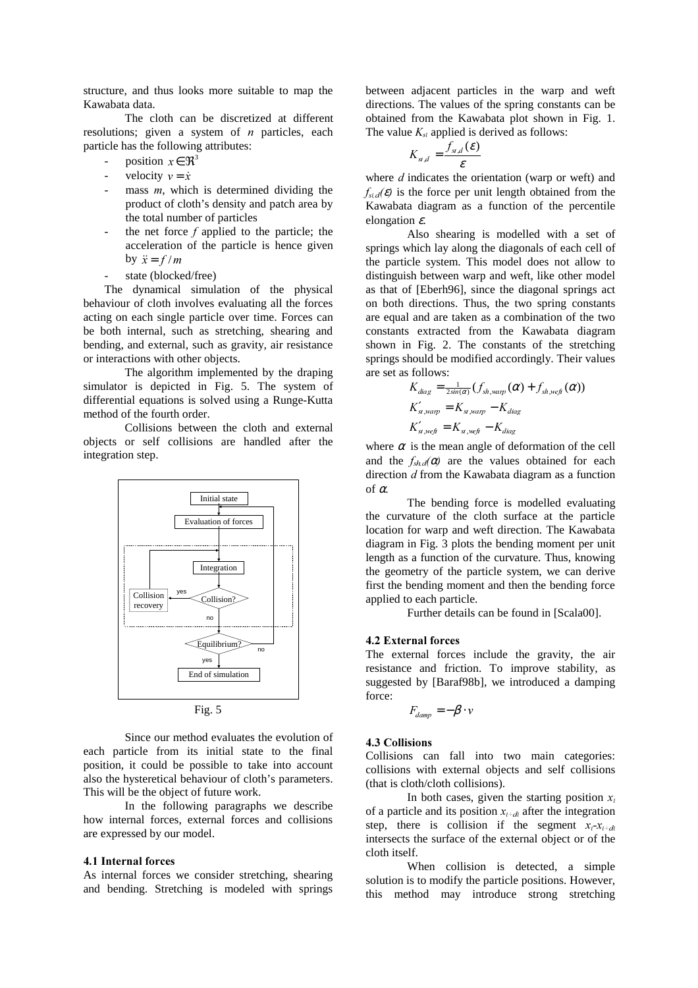structure, and thus looks more suitable to map the Kawabata data.

The cloth can be discretized at different resolutions; given a system of  $n$  particles, each particle has the following attributes:

- position  $x \in \mathbb{R}^3$
- velocity  $v = \dot{x}$
- mass  $m$ , which is determined dividing the product of cloth's density and patch area by the total number of particles
- the net force  $f$  applied to the particle; the acceleration of the particle is hence given by  $\ddot{x} = f/m$
- state (blocked/free)

The dynamical simulation of the physical behaviour of cloth involves evaluating all the forces acting on each single particle over time. Forces can be both internal, such as stretching, shearing and bending, and external, such as gravity, air resistance or interactions with other objects.

The algorithm implemented by the draping simulator is depicted in Fig. 5. The system of differential equations is solved using a Runge-Kutta method of the fourth order.

Collisions between the cloth and external objects or self collisions are handled after the integration step.



Since our method evaluates the evolution of each particle from its initial state to the final position, it could be possible to take into account also the hysteretical behaviour of cloth's parameters. This will be the object of future work.

In the following paragraphs we describe how internal forces, external forces and collisions are expressed by our model.

#### 4.1 Internal forces

As internal forces we consider stretching, shearing and bending. Stretching is modeled with springs between adjacent particles in the warp and weft directions. The values of the spring constants can be obtained from the Kawabata plot shown in Fig. 1. The value  $K_{st}$  applied is derived as follows:

$$
K_{st,d} = \frac{f_{st,d}(\boldsymbol{\varepsilon})}{\boldsymbol{\varepsilon}}
$$

where  $d$  indicates the orientation (warp or weft) and  $f_{std}(\mathcal{E})$  is the force per unit length obtained from the Kawabata diagram as a function of the percentile elongation  $\varepsilon$ .

Also shearing is modelled with a set of springs which lay along the diagonals of each cell of the particle system. This model does not allow to distinguish between warp and weft, like other model as that of [Eberh96], since the diagonal springs act on both directions. Thus, the two spring constants are equal and are taken as a combination of the two constants extracted from the Kawabata diagram shown in Fig. 2. The constants of the stretching springs should be modified accordingly. Their values are set as follows:

$$
K_{diag} = \frac{1}{2\sin(\alpha)} (f_{sh, warp}(\alpha) + f_{sh,weft}(\alpha))
$$
  
\n
$$
K'_{st, warp} = K_{st, warp} - K_{diag}
$$
  
\n
$$
K'_{st,weft} = K_{st,weft} - K_{diag}
$$

where  $\alpha$  is the mean angle of deformation of the cell and the  $f_{shd}(\alpha)$  are the values obtained for each direction  $d$  from the Kawabata diagram as a function of  $\alpha$ 

The bending force is modelled evaluating the curvature of the cloth surface at the particle location for warp and weft direction. The Kawabata diagram in Fig. 3 plots the bending moment per unit length as a function of the curvature. Thus, knowing the geometry of the particle system, we can derive first the bending moment and then the bending force applied to each particle.

Further details can be found in [Scala00].

#### 4.2 External forces

The external forces include the gravity, the air resistance and friction. To improve stability, as suggested by [Baraf98b], we introduced a damping force:

$$
F_{\text{damp}} = -\beta \cdot \nu
$$

### 4.3 Collisions

Collisions can fall into two main categories: collisions with external objects and self collisions (that is cloth/cloth collisions).

In both cases, given the starting position  $x_t$ of a particle and its position  $x_{t+dt}$  after the integration step, there is collision if the segment  $x_t$ - $x_{t+dt}$ intersects the surface of the external object or of the cloth itself.

When collision is detected, a simple solution is to modify the particle positions. However, this method may introduce strong stretching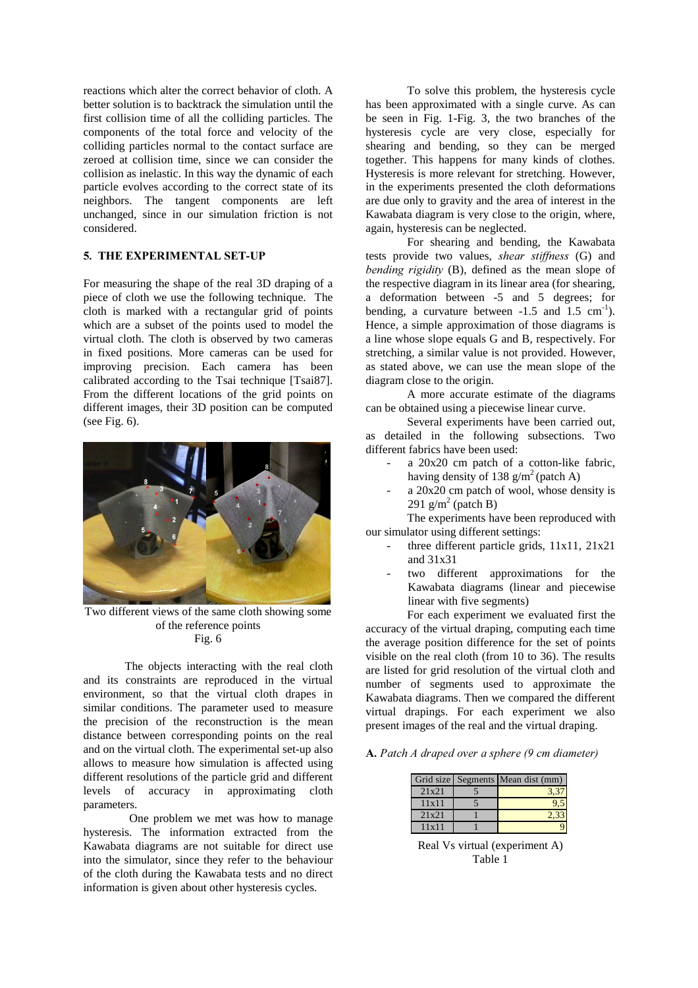reactions which alter the correct behavior of cloth. A better solution is to backtrack the simulation until the first collision time of all the colliding particles. The components of the total force and velocity of the colliding particles normal to the contact surface are zeroed at collision time, since we can consider the collision as inelastic. In this way the dynamic of each particle evolves according to the correct state of its neighbors. The tangent components are left unchanged, since in our simulation friction is not considered.

## 5. THE EXPERIMENTAL SET-UP

For measuring the shape of the real 3D draping of a piece of cloth we use the following technique. The cloth is marked with a rectangular grid of points which are a subset of the points used to model the virtual cloth. The cloth is observed by two cameras in fixed positions. More cameras can be used for improving precision. Each camera has been calibrated according to the Tsai technique [Tsai87]. From the different locations of the grid points on different images, their 3D position can be computed (see Fig. 6).



Two different views of the same cloth showing some of the reference points Fig. 6

The objects interacting with the real cloth and its constraints are reproduced in the virtual environment, so that the virtual cloth drapes in similar conditions. The parameter used to measure the precision of the reconstruction is the mean distance between corresponding points on the real and on the virtual cloth. The experimental set-up also allows to measure how simulation is affected using different resolutions of the particle grid and different levels of accuracy in approximating cloth parameters.

 One problem we met was how to manage hysteresis. The information extracted from the Kawabata diagrams are not suitable for direct use into the simulator, since they refer to the behaviour of the cloth during the Kawabata tests and no direct information is given about other hysteresis cycles.

To solve this problem, the hysteresis cycle has been approximated with a single curve. As can be seen in Fig. 1-Fig. 3, the two branches of the hysteresis cycle are very close, especially for shearing and bending, so they can be merged together. This happens for many kinds of clothes. Hysteresis is more relevant for stretching. However, in the experiments presented the cloth deformations are due only to gravity and the area of interest in the Kawabata diagram is very close to the origin, where, again, hysteresis can be neglected.

For shearing and bending, the Kawabata tests provide two values, shear stiffness  $(G)$  and bending rigidity  $(B)$ , defined as the mean slope of the respective diagram in its linear area (for shearing, a deformation between -5 and 5 degrees; for bending, a curvature between  $-1.5$  and  $1.5$  cm<sup>-1</sup>). Hence, a simple approximation of those diagrams is a line whose slope equals G and B, respectively. For stretching, a similar value is not provided. However, as stated above, we can use the mean slope of the diagram close to the origin.

A more accurate estimate of the diagrams can be obtained using a piecewise linear curve.

Several experiments have been carried out, as detailed in the following subsections. Two different fabrics have been used:

- a 20x20 cm patch of a cotton-like fabric, having density of 138  $g/m^2$  (patch A)
- $a$  20x20 cm patch of wool, whose density is 291  $g/m^2$  (patch B)

The experiments have been reproduced with our simulator using different settings:

- three different particle grids,  $11x11$ ,  $21x21$ and 31x31
- two different approximations for the Kawabata diagrams (linear and piecewise linear with five segments)

For each experiment we evaluated first the accuracy of the virtual draping, computing each time the average position difference for the set of points visible on the real cloth (from 10 to 36). The results are listed for grid resolution of the virtual cloth and number of segments used to approximate the Kawabata diagrams. Then we compared the different virtual drapings. For each experiment we also present images of the real and the virtual draping.

 $\bf{A}$ . Patch A draped over a sphere (9 cm diameter)

|       | Grid size Segments Mean dist (mm) |
|-------|-----------------------------------|
| 21x21 |                                   |
| 11x11 |                                   |
| 21x21 |                                   |
| 11x11 |                                   |

Real Vs virtual (experiment A) Table 1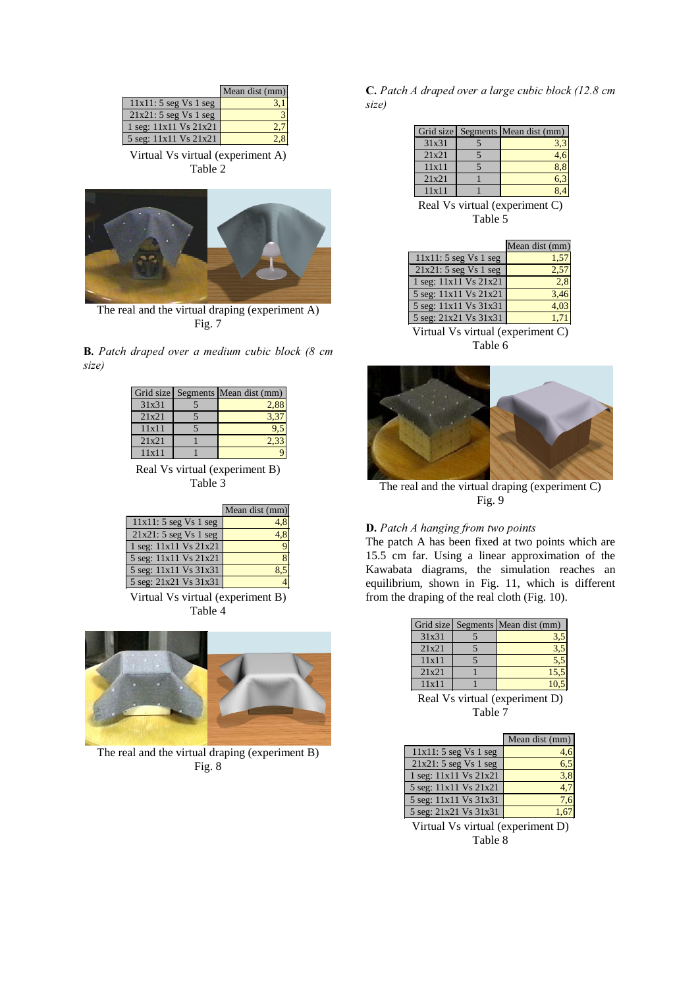|                        | Mean dist (mm) |
|------------------------|----------------|
| $11x11:5$ seg Vs 1 seg |                |
| $21x21:5$ seg Vs 1 seg |                |
| 1 seg: 11x11 Vs 21x21  |                |
| 5 seg: 11x11 Vs 21x21  |                |
| . .                    |                |

Virtual Vs virtual (experiment A) Table 2



The real and the virtual draping (experiment A) Fig. 7

**B.** Patch draped over a medium cubic block  $(8 \text{ cm})$ size)

|       | Grid size Segments Mean dist (mm) |
|-------|-----------------------------------|
| 31x31 | 2.88                              |
| 21x21 | 3.37                              |
| 11x11 | 9.5                               |
| 21x21 | 2.33                              |
| 11x11 |                                   |

Real Vs virtual (experiment B) Table 3

|                        | Mean dist (mm) |
|------------------------|----------------|
| $11x11:5$ seg Vs 1 seg |                |
| $21x21:5$ seg Vs 1 seg |                |
| 1 seg: 11x11 Vs 21x21  |                |
| 5 seg: 11x11 Vs 21x21  |                |
| 5 seg: 11x11 Vs 31x31  |                |
| 5 seg: 21x21 Vs 31x31  |                |

Virtual Vs virtual (experiment B) Table 4



The real and the virtual draping (experiment B) Fig. 8

C. Patch A draped over a large cubic block (12.8 cm size)

|       |                                 | Grid size Segments Mean dist (mm) |
|-------|---------------------------------|-----------------------------------|
| 31x31 |                                 | 3,3                               |
| 21x21 |                                 | 4,6                               |
| 11x11 |                                 | 8,8                               |
| 21x21 |                                 | 6,3                               |
| 11x11 |                                 |                                   |
|       | $\cdot$ $\cdot$ $\cdot$ $\cdot$ |                                   |

Real Vs virtual (experiment C) Table 5

|                                   | Mean dist (mm) |  |
|-----------------------------------|----------------|--|
| $11x11:5$ seg Vs 1 seg            | 1,57           |  |
| $21x21:5$ seg Vs 1 seg            | 2,57           |  |
| 1 seg: 11x11 Vs 21x21             | 2,8            |  |
| 5 seg: 11x11 Vs 21x21             | 3,46           |  |
| 5 seg: 11x11 Vs 31x31             | 4,03           |  |
| 5 seg: 21x21 Vs 31x31             | 1,71           |  |
| Virtual Vs virtual (experiment C) |                |  |

Table 6



The real and the virtual draping (experiment C) Fig. 9

# **D.** Patch A hanging from two points

The patch A has been fixed at two points which are 15.5 cm far. Using a linear approximation of the Kawabata diagrams, the simulation reaches an equilibrium, shown in Fig. 11, which is different from the draping of the real cloth (Fig. 10).

|                                                                                                                                                                                                   |  | Grid size Segments Mean dist (mm) |
|---------------------------------------------------------------------------------------------------------------------------------------------------------------------------------------------------|--|-----------------------------------|
| 31x31                                                                                                                                                                                             |  | 3,5                               |
| 21x21                                                                                                                                                                                             |  | 3,5                               |
| 11x11                                                                                                                                                                                             |  | 5,5                               |
| 21x21                                                                                                                                                                                             |  | 15,5                              |
| 11x11                                                                                                                                                                                             |  | 10,5                              |
| $\mathbf{p}_{\mathbf{q}}$ $\mathbf{V}_{\mathbf{q}}$ $\mathbf{V}_{\mathbf{q}}$ $\mathbf{v}_{\mathbf{q}}$ $\mathbf{v}_{\mathbf{q}}$ and $\mathbf{v}_{\mathbf{q}}$ are not $\mathbf{V}_{\mathbf{q}}$ |  |                                   |

irtual (experiment D) Table 7

|                        | Mean dist $(mm)$ |
|------------------------|------------------|
| $11x11:5$ seg Vs 1 seg |                  |
| 21x21: 5 segVs 1 seg   |                  |
| 1 seg: 11x11 Vs 21x21  |                  |
| 5 seg: 11x11 Vs 21x21  |                  |
| 5 seg: 11x11 Vs 31x31  |                  |
| 5 seg: 21x21 Vs 31x31  |                  |

Virtual Vs virtual (experiment D) Table 8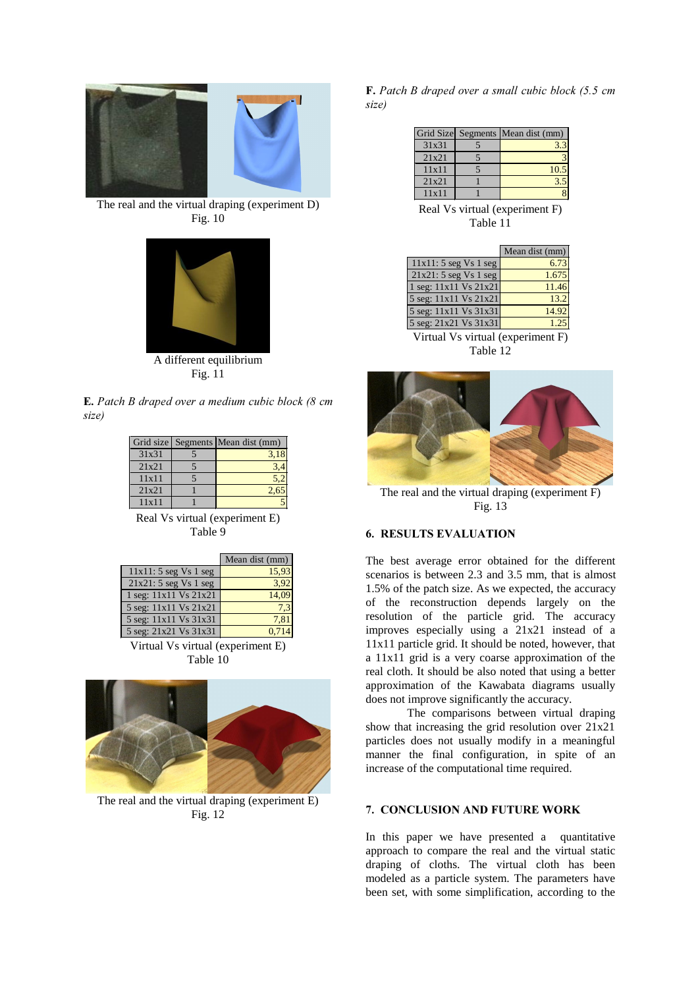

The real and the virtual draping (experiment D) Fig. 10



A different equilibrium Fig. 11

 $E.$  Patch B draped over a medium cubic block (8 cm size)

|       | Grid size Segments Mean dist (mm) |
|-------|-----------------------------------|
| 31x31 | 3,18                              |
| 21x21 |                                   |
| 11x11 |                                   |
| 21x21 |                                   |
| 11x11 |                                   |

Real Vs virtual (experiment E) Table 9

|                        | Mean dist (mm) |
|------------------------|----------------|
| $11x11:5$ seg Vs 1 seg | 15,93          |
| $21x21:5$ seg Vs 1 seg | 3.92           |
| 1 seg: 11x11 Vs 21x21  |                |
| 5 seg: 11x11 Vs 21x21  |                |
| 5 seg: 11x11 Vs 31x31  | 7.8'           |
| 5 seg: 21x21 Vs 31x31  |                |

Virtual Vs virtual (experiment E) Table 10



The real and the virtual draping (experiment E) Fig. 12

 **Patch B draped over a small cubic block (5.5 cm** size)

|       | Grid Size Segments Mean dist (mm) |
|-------|-----------------------------------|
| 31x31 |                                   |
| 21x21 |                                   |
| 11x11 | 10.                               |
| 21x21 |                                   |
| 11x11 |                                   |

Real Vs virtual (experiment F) Table 11

|                                                                                           | Mean dist (mm) |
|-------------------------------------------------------------------------------------------|----------------|
| $11x11:5$ seg Vs 1 seg                                                                    | 6.73           |
| $21x21:5$ seg Vs 1 seg                                                                    | 1.675          |
| 1 seg: 11x11 Vs 21x21                                                                     | 11.46          |
| 5 seg: 11x11 Vs 21x21                                                                     | 13.2           |
| 5 seg: 11x11 Vs 31x31                                                                     | 14.92          |
| 5 seg: 21x21 Vs 31x31                                                                     | 1.25           |
| $\mathbf{U}$ is the set of $\mathbf{U}$ is a set of $\mathbf{U}$ is a set of $\mathbf{U}$ |                |

Virtual Vs virtual (experiment F) Table 12



The real and the virtual draping (experiment F) Fig. 13

# 6. RESULTS EVALUATION

The best average error obtained for the different scenarios is between 2.3 and 3.5 mm, that is almost 1.5% of the patch size. As we expected, the accuracy of the reconstruction depends largely on the resolution of the particle grid. The accuracy improves especially using a 21x21 instead of a 11x11 particle grid. It should be noted, however, that a 11x11 grid is a very coarse approximation of the real cloth. It should be also noted that using a better approximation of the Kawabata diagrams usually does not improve significantly the accuracy.

The comparisons between virtual draping show that increasing the grid resolution over 21x21 particles does not usually modify in a meaningful manner the final configuration, in spite of an increase of the computational time required.

## 7. CONCLUSION AND FUTURE WORK

In this paper we have presented a quantitative approach to compare the real and the virtual static draping of cloths. The virtual cloth has been modeled as a particle system. The parameters have been set, with some simplification, according to the